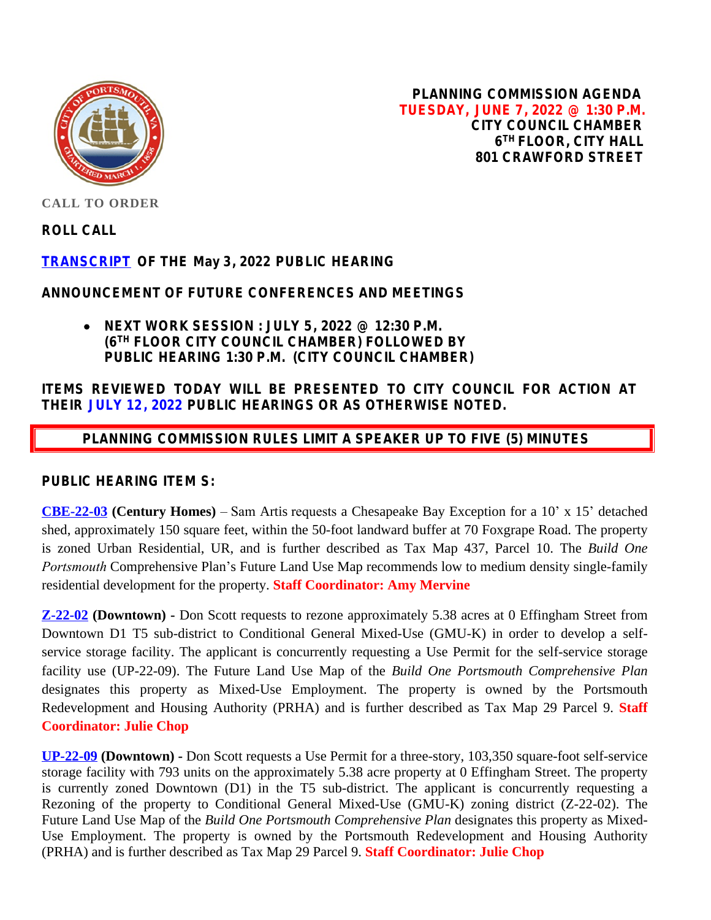

**PLANNING COMMISSION AGENDA TUESDAY, JUNE 7, 2022 @ 1:30 P.M. CITY COUNCIL CHAMBER 6 TH FLOOR, CITY HALL 801 CRAWFORD STREET**

**CALL TO ORDER**

**ROLL CALL**

## **[TRANSCRIPT](https://www.portsmouthva.gov/DocumentCenter/View/12465/Planning-Commission-Transcript0532022) OF THE May 3, 2022 PUBLIC HEARING**

### **ANNOUNCEMENT OF FUTURE CONFERENCES AND MEETINGS**

 **NEXT WORK SESSION : JULY 5, 2022 @ 12:30 P.M. (6TH FLOOR CITY COUNCIL CHAMBER) FOLLOWED BY PUBLIC HEARING 1:30 P.M. (CITY COUNCIL CHAMBER)**

## **ITEMS REVIEWED TODAY WILL BE PRESENTED TO CITY COUNCIL FOR ACTION AT THEIR JULY 12, 2022 PUBLIC HEARINGS OR AS OTHERWISE NOTED.**

# **PLANNING COMMISSION RULES LIMIT A SPEAKER UP TO FIVE (5) MINUTES**

### **PUBLIC HEARING ITEM S:**

**[CBE-22-03](https://www.portsmouthva.gov/DocumentCenter/View/12464/CBE-22-03_Staff-Report-for-printing) (Century Homes)** – Sam Artis requests a Chesapeake Bay Exception for a 10' x 15' detached shed, approximately 150 square feet, within the 50-foot landward buffer at 70 Foxgrape Road. The property is zoned Urban Residential, UR, and is further described as Tax Map 437, Parcel 10. The *Build One Portsmouth* Comprehensive Plan's Future Land Use Map recommends low to medium density single-family residential development for the property. **Staff Coordinator: Amy Mervine**

**[Z-22-02](https://www.portsmouthva.gov/DocumentCenter/View/12463/Z-22-02-Staff-Report-Packet-for-printing) (Downtown) -** Don Scott requests to rezone approximately 5.38 acres at 0 Effingham Street from Downtown D1 T5 sub-district to Conditional General Mixed-Use (GMU-K) in order to develop a selfservice storage facility. The applicant is concurrently requesting a Use Permit for the self-service storage facility use (UP-22-09). The Future Land Use Map of the *Build One Portsmouth Comprehensive Plan* designates this property as Mixed-Use Employment. The property is owned by the Portsmouth Redevelopment and Housing Authority (PRHA) and is further described as Tax Map 29 Parcel 9. **Staff Coordinator: Julie Chop**

**[UP-22-09](https://www.portsmouthva.gov/DocumentCenter/View/12461/UP-22-09-Staff-Report-Packet-for-printing) (Downtown) -** Don Scott requests a Use Permit for a three-story, 103,350 square-foot self-service storage facility with 793 units on the approximately 5.38 acre property at 0 Effingham Street. The property is currently zoned Downtown (D1) in the T5 sub-district. The applicant is concurrently requesting a Rezoning of the property to Conditional General Mixed-Use (GMU-K) zoning district (Z-22-02). The Future Land Use Map of the *Build One Portsmouth Comprehensive Plan* designates this property as Mixed-Use Employment. The property is owned by the Portsmouth Redevelopment and Housing Authority (PRHA) and is further described as Tax Map 29 Parcel 9. **Staff Coordinator: Julie Chop**